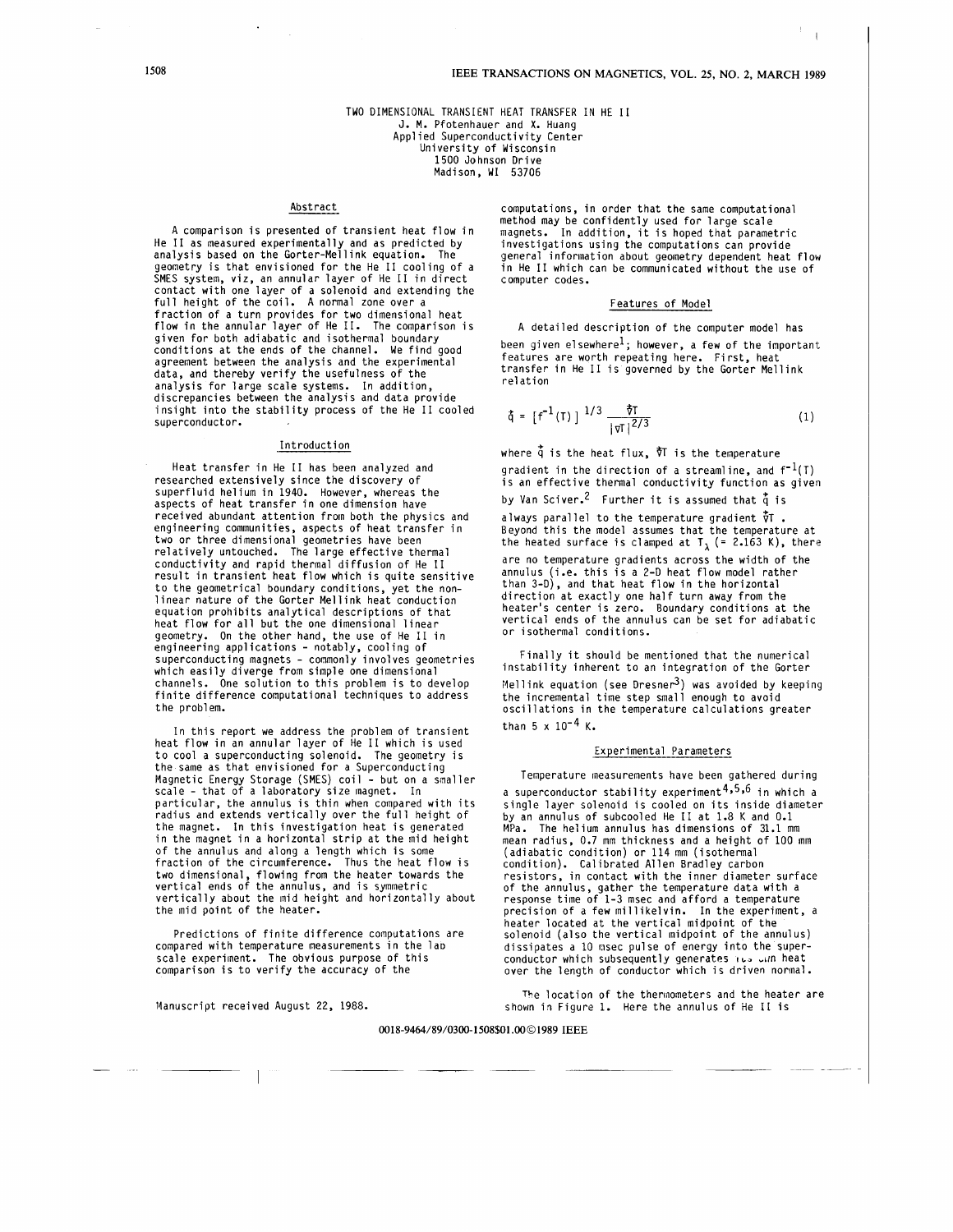I

#### TWO DIMENSIONAL TRANSIENT HEAT TRANSFER **IN** HE I1 J. M. Pfotenhauer and **X.** Huang Applied Superconductivity Center University of Wisconsin 1500 Johnson Drive Madison, WI 53706

## Abstract

A comparison is presented of transient heat flow in He I1 as measured experimentally and as predicted by analysis based on the Gorter-Mellink equation. The geometry is that envisioned for the He I1 cooling of a SMES system, viz, an annular layer of He I1 in direct contact with one layer of a solenoid and extending the full height of the coil. **A** normal zone over a fraction of a turn provides for two dimensional heat flow in the annular layer of He 11. The comparison is given for both adiabatic and isothermal boundary conditions at the ends of the channel. We find good agreement between the analysis and the experimental data, and thereby verify the usefulness of the analysis for large scale systems. In addition, discrepancies between the analysis and data provide insight into the stability process of the He I1 cooled superconductor.

#### **Introduction**

Heat transfer in He I1 has been analyzed and researched extensively since the discovery of superfluid helium in 1940. However, whereas the aspects of heat transfer in one dimension have received abundant attention from both the physics and engineering communities, aspects of heat transfer in two or three dimensional geometries have been relatively untouched. The large effective thermal conductivity and rapid thermal diffusion of He I1 result in transient heat flow which is quite sensitive to the geometrical boundary conditions, yet the non-linear nature of the Gorter Mellink heat conduction equation prohibits analytical descriptions of that heat flow for all but the one dimensional linear geometry. On the other hand, the use of He I1 in engineering applications - notably, cooling of superconducting magnets - commonly involves geometries which easily diverge from simple one dimensional channels. One solution to this problem is to develop finite difference computational techniques to address the problem.

In this report we address the problem of transient heat flow in an annular layer of He I1 which is used to cool a superconducting solenoid. The geometry is the same as that envisioned for a Superconducting Magnetic Energy Storage (SMES) coil - but on a smaller scale - that of a laboratory size magnet. **In**  particular, the annulus is thin when compared with its radius and extends vertically over the full height of the magnet. in the magnet in a horizontal strip at the mid height In this investigation heat is generated of the annulus and along a length which is some fraction of the circumference. Thus the heat flow is two dimensional, flowing from the heater towards the vertical ends of the annulus, and is symmetric vertically about the mid height and horizontally about the mid point of the heater.

Predictions of finite difference computations are compared with temperature measurements in the lao scale experiment. The obvious purpose of this comparison is to verify the accuracy of the

Manuscript received August 22, 1988.

computations, in order that the same computational method may be confidently used for large scale magnets. In addition, it is hoped that parametric investigations using the computations can provide general information about geometry dependent heat flow in He I1 which can be communicated without the use of computer codes.

# Features of Model

A detailed description of the computer model has been given elsewhere<sup>1</sup>; however, a few of the important features are worth repeating here. First, heat transfer in He I1 is governed by the Gorter Mellink re1 at ion

$$
\dot{\xi} = [f^{-1}(T)]^{1/3} \frac{\dot{\tau}T}{|\tau T|^{2/3}}
$$
 (1)

where  $\dot{q}$  is the heat flux,  $\dot{\nabla}$  is the temperature gradient in the direction of a streamline, and  $f^{-1}(T)$ is an effective thermal conductivity function as given by Van Sciver.<sup>2</sup> Further it is assumed that  $\dot{\tilde{q}}$  is always parallel to the temperature gradient  $\dot{\tilde{y}}$  . Beyond this the model assumes that the temperature at the heated surface is clamped at  $T_{\lambda}$  (= 2.163 K), there are no temperature gradients across the width of the annulus (i.e. this is a 2-D heat flow model rather than **3-D),** and that heat flow in the horizontal direction at exactly one half turn away from the heater's center is zero. Boundary conditions at the<br>vertical ends of the annulus can be set for adiabatic or isothermal conditions.

Finally it should be mentioned that the numerical instability inherent to an integration of the Gorter Mellink equation (see Dresner<sup>3</sup>) was avoided by keeping the incremental time step small enough to avoid oscillations in the temperature calculations greater than  $5 \times 10^{-4}$  K.

#### Experimental Parameters

Temperature measurements have been gathered during a superconductor stability experiment<sup>4,5,6</sup> in which a single layer solenoid is cooled on its inside diameter by an annulus of subcooled He I1 at 1.8 **K** and 0.1 MPa. The helium annulus has dimensions of 31.1 mm mean radius, 0.7 mm thickness and a height of 100 mm (adiabatic condition) or 114 mm (isothermal<br>condition). Calibrated Allen Bradley carbon<br>resistors, in contact with the inner diameter surface<br>of the annulus, gather the temperature data with a<br>response time of 1-3 msec and precision of a few millikelvin. In the experiment, a heater located at the vertical midpoint of the solenoid (also the vertical midpoint of the annulus) dissipates a 10 nsec pulse of energy into the superconductor which subsequently generates its oun heat over the length of conductor which is driven normal. Frequency of the Heater Located at the vertical midpoint of the measurements in the laster located at the vertical midpoint of the solenoid (also the vertical midpoint of the minulus) compared with temperature measurements

shown in Figure 1. Here the annulus of He 11 is The location of the therinometers and the heater are

#### **0018-9464/89/0300-1508\$01** .WO **1989 IEEE**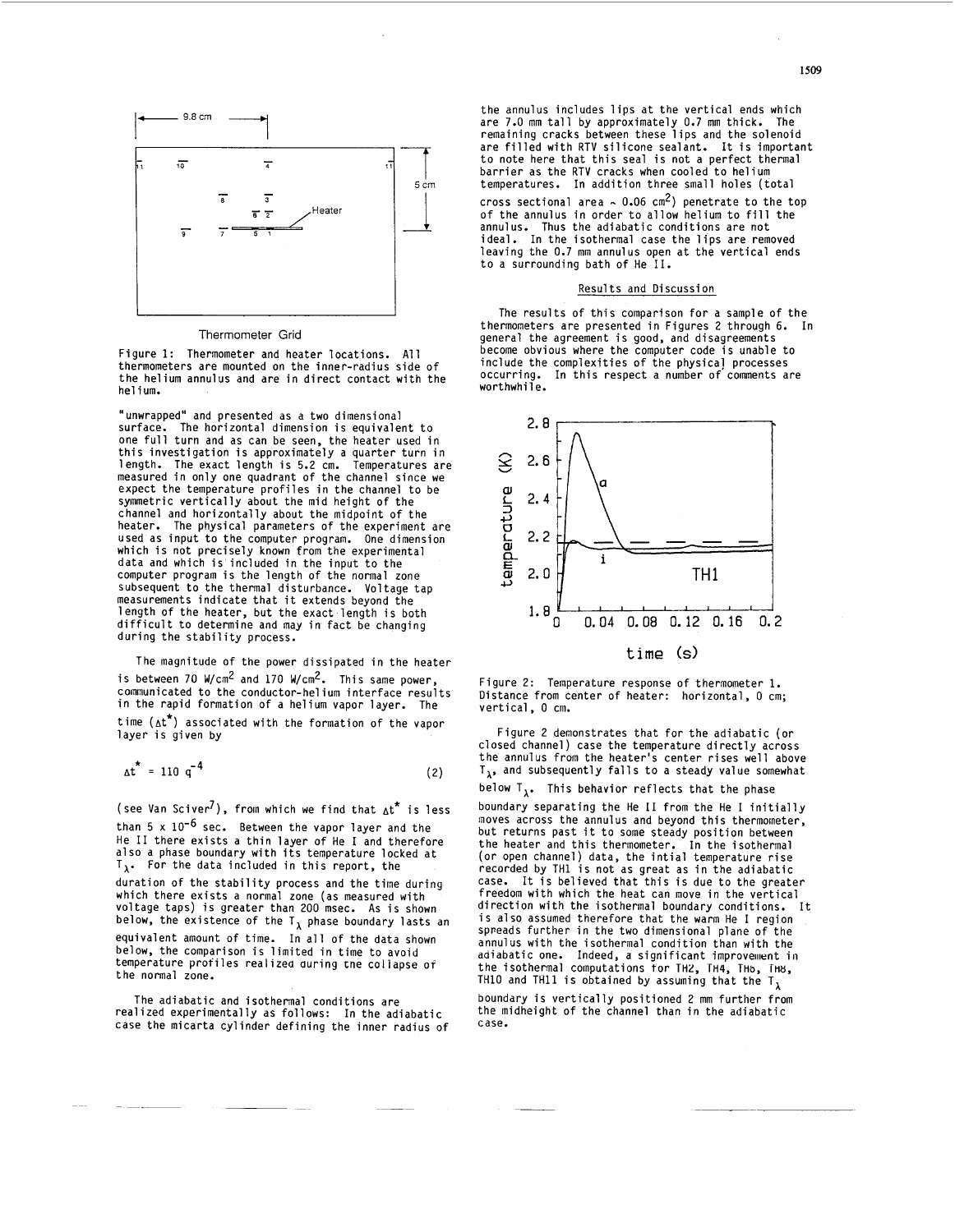

## Thermometer Grid

Figure 1: Thermometer and heater locations. All thermometers are mounted on the inner-radius side of the helium annulus and are in direct contact with the helium.

"unwrapped" and presented as a two dimensional surface. The horizontal dimension is equivalent to one full turn and as can be seen, the heater used in this investigation is approximately a quarter turn in length. The exact length is 5.2 cm. Temperatures are measured in only one quadrant of the channel since we expect the temperature profiles in the channel to be symmetric vertically about the mid height of the channel and horizontally about the midpoint of the The physical parameters of the experiment are used as input to the computer program. One dimension which is not precisely known from the experimental data and which is included in the input to the computer program is the length of the normal zone subsequent to the thermal disturbance. Voltage tap measurements indicate that it extends beyond the length of the heater, but the exact length is both difficult to determine and may in fact be changing during the stability process.

The magnitude of the power dissipated in the heater is between 70 W/cm2 and 170 W/cm2. This same power, communicated to the conductor-helium interface results in the rapid formation of a helium vapor layer. The time  $(\Delta t^*)$  associated with the formation of the vapor layer is given by

$$
\Delta t^* = 110 \, \text{q}^{-4} \tag{2}
$$

(see Van Sciver<sup>7</sup>), from which we find that  $\Delta t^*$  is less than  $5 \times 10^{-6}$  sec. Between the vapor layer and the than 5 x 10<sup>-6</sup> sec. Between the vapor layer and the<br>He II there exists a thin layer of He I and therefore<br>also a phase boundary with its temperature locked at  $T_{\lambda}$ . For the data included in this report, the duration of the stability process and the time during which there exists a normal zone (as measured with voltage taps) is greater than 200 msec. **As** is shown below, the existence of the  $T_{\lambda}$  phase boundary lasts an equivalent amount of time. In all of the data shown below, the comparison is limited in time to avoid temperature profiles realized during tne collapse of the normal zone.

The adiabatic and isothermal conditions are realized experimentally as follows: In the adiabatic case the micarta cylinder defining the inner radius of

the annulus includes lips at the vertical ends which are 7.0 mm tall by approximately 0.7 mm thick. The remaining cracks between these lips and the solenoid are filled with RTV silicone sealant. It *is* important to note here that this seal is not a perfect thermal barrier as the RTV cracks when cooled to helium temperatures. In addition three small holes (total

cross sectional area  $\sim 0.06$  cm<sup>2</sup>) penetrate to the top of the annulus in order to allow helium to fill the annulus. Thus the adiabatic conditions are not ideal. In the isothermal case the lips are removed leaving the 0.7 mm annulus open at the vertical ends to a surrounding bath of He 11.

## **Results and Discussion**

The results of this comparison for a sample of the thermoneters are presented in Figures 2 through 6. In general the agreement is good, and disagreements become obvious where the computer code is unable to include the complexities of the physical processes occurring. In this respect a number of'comments are worthwhile.



Figure 2: Temperature response of thermometer 1. Distance from center of heater: horizontal, 0 cm; vertical, 0 cm.

Figure 2 demonstrates that for the adiabatic (or closed channel) case the temperature directly across the annulus from the heater's center rises well above  $T_{\lambda}$ , and subsequently falls to a steady value somewhat below  ${\mathsf T}_{\boldsymbol\lambda}$ . This behavior reflects that the phase

boundary separating the He I1 from the He I initially moves across the annulus and beyond this thermometer, but returns past it to some steady position between the heater and this thermometer. In the isothermal (or open channel) data, the intial temperature rise recorded by TH1 is not as great as in the adiabatic case. It is believed that this **is** due to the greater freedom with which the heat can move in the vertical execution with the isothermal boundary conditions. It<br>is also assumed therefore that the warm He I region sppeads further in the two dimensional plane of the annulus with the isothermal condition than with the adiabatic one. Indeed, a significant improvement in the isothermal computations tor TH2, **TH4,** THb, THv, TH10 and TH11 is obtained by assuming that the  $T_{\lambda}$ 

boundary is vertically positioned 2 mm further from the midheight of the channel than in the adiabatic case.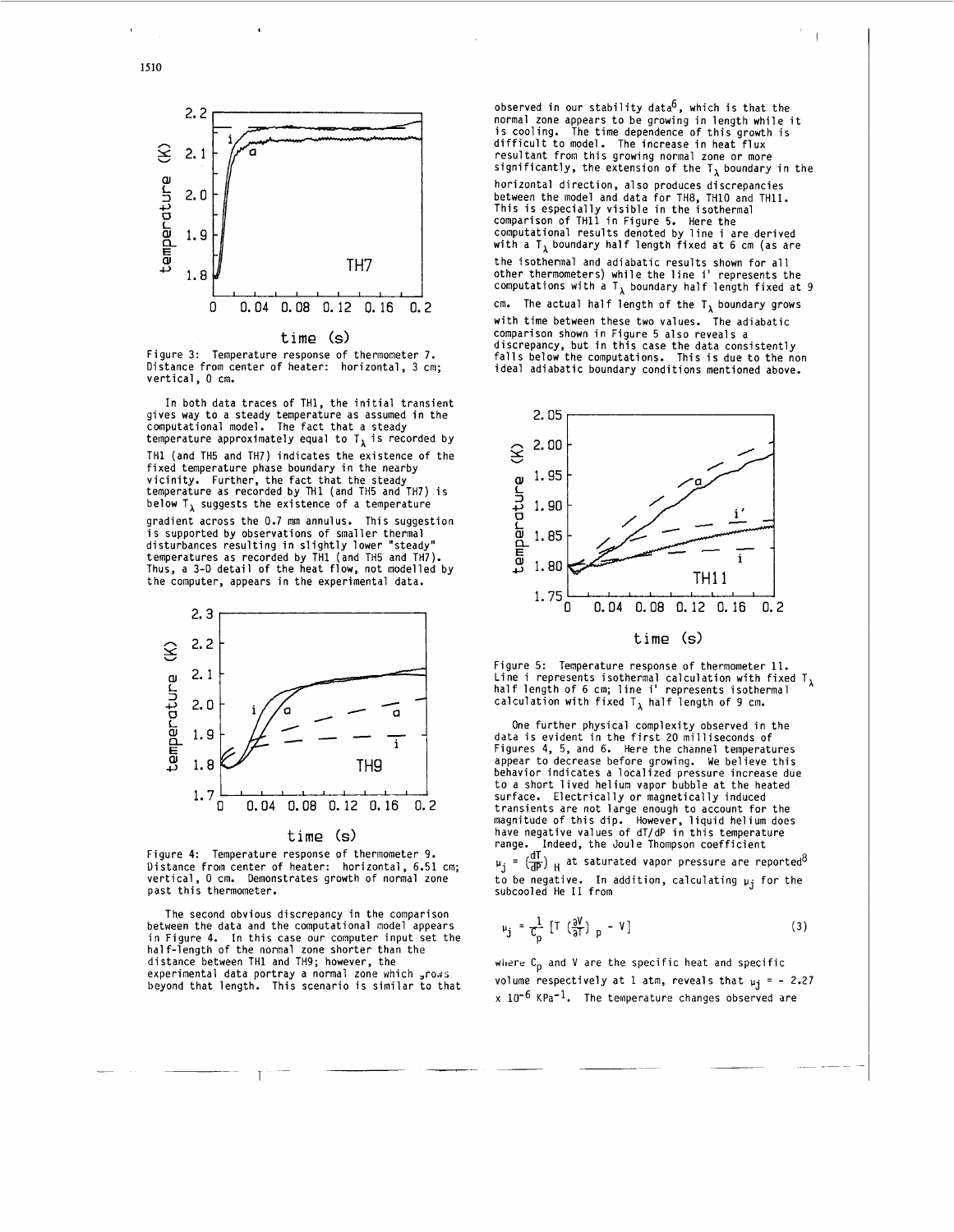

**time (SI** 

Figure 3: Figure 3: Temperature response of thermometer 7.<br>Distance from center of heater: horizontal, 3 cm; vertical, 0 cm.

In both data traces of TH1, the initial transient gives way to a steady temperature as assumed in the computational model. The fact that a steady temperature approximately equal to  $T_{\lambda}$  is recorded by TH1 (and TH5 and TH7) indicates the existence of the fixed temperature phase boundary in the nearby vicinity. Further, the fact that the steady<br>temperature as recorded by TH1 (and TH5 and TH7) is below  $T_{\lambda}$  suggests the existence of a temperature gradient across the 0.7 mm annulus. This suggestion is supported by observations of smaller thermal disturbances resulting in slightly lower "steady" temperatures as recorded by TH1 (and TH5 and TH7). Thus, a 3-D detail of the heat flow, not modelled by the computer, appears in the experimental data.



**time (SI** 

Figure **4:**  Temperature response of thermometer 9. Distance from center of heater: horizontal, 6.51 cm; vertical, 0 cm. Demonstrates growth of normal zone past this thermometer.

The second obvious discrepancy in the comparison between the data and the computational model appears in Figure 4. In this case our computer input set the<br>nalf-length of the normal zone shorter than the distance between TH1 and TH9; however, the experimental data portray a normal zone which grows beyond that length. This scenario is similar to that

observed in our stability data<sup>6</sup>, which is that the normal zone appears to be growing in length while it<br>is cooling. The time dependence of this growth is difficult to model. The increase in heat flux resultant from this growing normal zone or more significantly, the extension of the  $T<sub>1</sub>$  boundary in the horizontal direction, a1 **so** produces discrepancies between the model and data for TH8, TH10 and TH11. This is especially visible in the isothermal comparison of THll in Figure 5. Here the comparison of TH11 in Figure 5. Here the<br>computational results denoted by line i are derived<br>with a T<sub>A</sub> boundary half length fixed at 6 cm (as are the isothermal and adiabatic results shown for all the isothermal and adiabatic results shown for all<br>other thermometers) while the line i' represents the<br>computations with a T<sub>A</sub> boundary half length fixed at 9 cm. The actual half length of the  $T_\lambda$  boundary grows with time between these two values. The adiabatic comparison shown in Figure 5 also reveals a discrepancy, but in this case the data consistently falls below the computations. This is due to the non ideal adiabatic boundary conditions mentioned above.



Figure 5: Temperature response of thermometer 11. Figure 5: Temperature response of thermometer 11.<br>Line i represents isothermal calculation with fixed T<sub> $\lambda$ </sub><br>half length of 6 cm; line i' represents isothermal calculation with fixed  $T_{\lambda}$  half length of 9 cm.

One further physical complexity observed in the<br>data is evident in the first 20 milliseconds of<br>Figures 4, 5, and 6. Here the channel temperatures<br>appear to decrease before growing. We believe this<br>behavior indicates a loc surface. Electrically or magnetically induced transients are not large enough to account for the<br>magnitude of this dip. However, liquid helium does<br>have negative values of dT/dP in this temperature range. Indeed, the Joule Thompson coefficient

 $\mu_{\rm j}$  =  $\left(\frac{d\Omega}{dP}\right)$   $_{\rm H}$  at saturated vapor pressure are reported<sup>o</sup> to be negative. In addition, calculating **pj** for the subcooled He I1 from

$$
\mu_{j} = \frac{1}{C_{p}} \left[ T \left( \frac{\partial V}{\partial x} \right)_{p} - V \right] \tag{3}
$$

where C<sub>p</sub> and V are the specific heat and specific volume respectively at 1 atm, reveals that  $\mu_i = -2.27$  $x$  10<sup>-6</sup> KPa<sup>-1</sup>. The temperature changes observed are